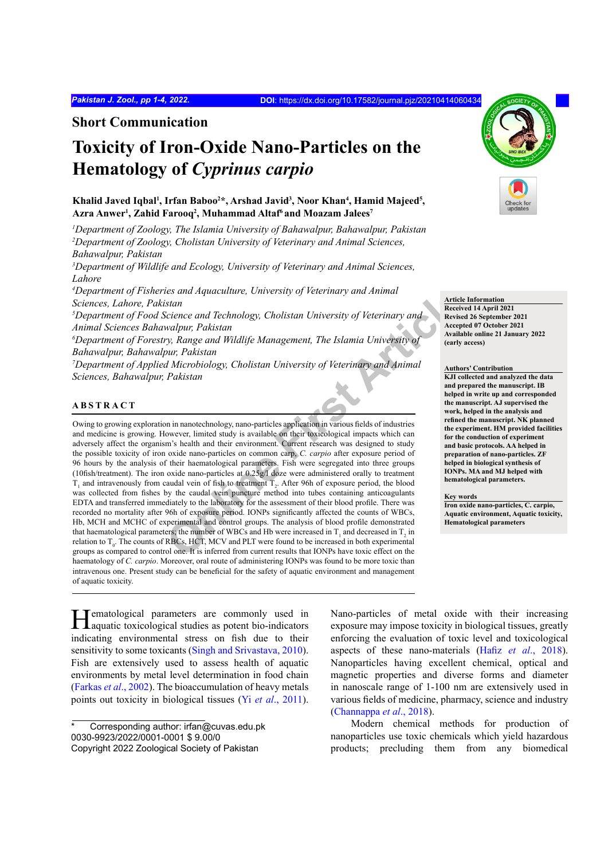**Short Communication**

# **Toxicity of Iron-Oxide Nano-Particles on the Hematology of** *Cyprinus carpio*

Khalid Javed Iqbal<sup>1</sup>, Irfan Baboo<sup>2\*</sup>, Arshad Javid<sup>3</sup>, Noor Khan<sup>4</sup>, Hamid Majeed<sup>5</sup>, **Azra Anwer1 , Zahid Farooq2 , Muhammad Altaf6 and Moazam Jalees7**

*1 Department of Zoology, The Islamia University of Bahawalpur, Bahawalpur, Pakistan 2 Department of Zoology, Cholistan University of Veterinary and Animal Sciences, Bahawalpur, Pakistan*

<sup>3</sup>Department of Wildlife and Ecology, University of Veterinary and Animal Sciences, *Lahore*

*4 Department of Fisheries and Aquaculture, University of Veterinary and Animal Sciences, Lahore, Pakistan*

*5 Department of Food Science and Technology, Cholistan University of Veterinary and Animal Sciences Bahawalpur, Pakistan*

*6 Department of Forestry, Range and Wildlife Management, The Islamia University of Bahawalpur, Bahawalpur, Pakistan*

<sup>7</sup>Department of Applied Microbiology, Cholistan University of Veterinary and Animal *Sciences, Bahawalpur, Pakistan*

### **ABSTRACT**

**Examplementaring Conversity of Veterinary and Animal Statistical<br>
Statistical Center Conversion (School Statistical Veterinary and Animal Receiver<br>
Statistical Center and Technology, Cholistan University of Veterinary and** Owing to growing exploration in nanotechnology, nano-particles application in various fields of industries and medicine is growing. However, limited study is available on their toxicological impacts which can adversely affect the organism's health and their environment. Current research was designed to study the possible toxicity of iron oxide nano-particles on common carp, *C. carpio* after exposure period of 96 hours by the analysis of their haematological parameters. Fish were segregated into three groups (10fish/treatment). The iron oxide nano-particles at 0.25g/l doze were administered orally to treatment  $T_1$  and intravenously from caudal vein of fish to treatment  $T_2$ . After 96h of exposure period, the blood was collected from fishes by the caudal vein puncture method into tubes containing anticoagulants EDTA and transferred immediately to the laboratory for the assessment of their blood profile. There was recorded no mortality after 96h of exposure period. IONPs significantly affected the counts of WBCs, Hb, MCH and MCHC of experimental and control groups. The analysis of blood profile demonstrated that haematological parameters; the number of WBCs and Hb were increased in  $T_1$  and decreased in  $T_2$  in relation to  $T_0$ . The counts of RBCs, HCT, MCV and PLT were found to be increased in both experimental groups as compared to control one. It is inferred from current results that IONPs have toxic effect on the haematology of *C. carpio*. Moreover, oral route of administering IONPs was found to be more toxic than intravenous one. Present study can be beneficial for the safety of aquatic environment and management of aquatic toxicity.

Hematological parameters are commonly used in aquatic toxicological studies as potent bio-indicators indicating environmental stress on fish due to their sensitivity to some toxicants ([Singh and Srivastava, 2010](#page-3-0)). Fish are extensively used to assess health of aquatic environments by metal level determination in food chain ([Farkas](#page-2-0) *et al*., 2002). The bioaccumulation of heavy metals points out toxicity in biological tissues (Yi *et al*[., 2011](#page-3-1)). Nano-particles of metal oxide with their increasing exposure may impose toxicity in biological tissues, greatly enforcing the evaluation of toxic level and toxicological aspects of these nano-materials (Hafiz *et al*[., 2018\)](#page-3-2). Nanoparticles having excellent chemical, optical and magnetic properties and diverse forms and diameter in nanoscale range of 1-100 nm are extensively used in various fields of medicine, pharmacy, science and industry ([Channappa](#page-2-1) *et al*., 2018).

Modern chemical methods for production of nanoparticles use toxic chemicals which yield hazardous products; precluding them from any biomedical



**Article Information Received 14 April 2021 Revised 26 September 2021 Accepted 07 October 2021 Available online 21 January 2022 (early access)**

#### **Authors' Contribution**

**KJI collected and analyzed the data and prepared the manuscript. IB helped in write up and corresponded the manuscript. AJ supervised the work, helped in the analysis and refined the manuscript. NK planned the experiment. HM provided facilities for the conduction of experiment and basic protocols. AA helped in preparation of nano-particles. ZF helped in biological synthesis of IONPs. MA and MJ helped with hematological parameters.**

#### **Key words**

**Iron oxide nano-particles, C. carpio, Aquatic environment, Aquatic toxicity, Hematological parameters**

Corresponding author: irfan@cuvas.edu.pk 0030-9923/2022/0001-0001 \$ 9.00/0 Copyright 2022 Zoological Society of Pakistan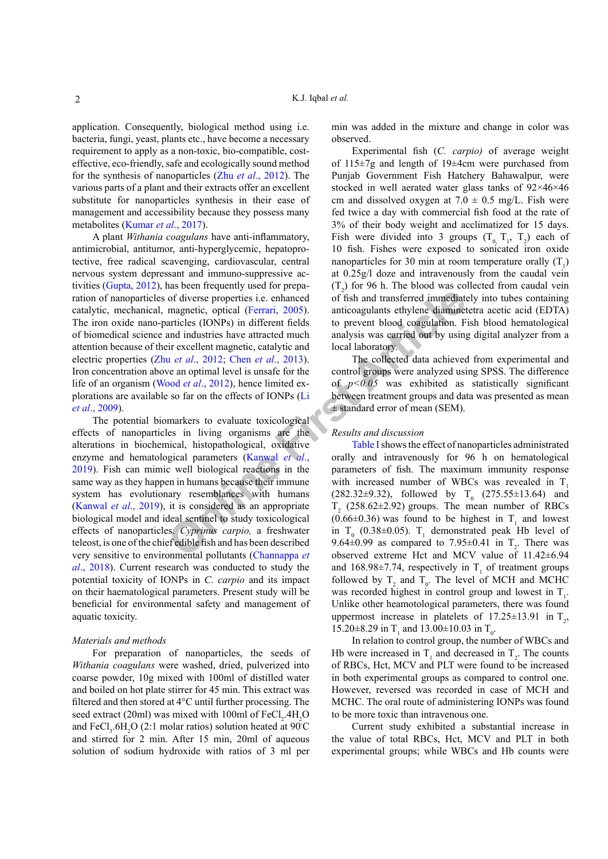application. Consequently, biological method using i.e. bacteria, fungi, yeast, plants etc., have become a necessary requirement to apply as a non-toxic, bio-compatible, costeffective, eco-friendly, safe and ecologically sound method for the synthesis of nanoparticles (Zhu *et al*[., 2012\)](#page-3-3). The various parts of a plant and their extracts offer an excellent substitute for nanoparticles synthesis in their ease of management and accessibility because they possess many metabolites ([Kumar](#page-3-4) *et al*., 2017).

A plant *Withania coagulans* have anti-inflammatory, antimicrobial, antitumor, anti-hyperglycemic, hepatoprotective, free radical scavenging, cardiovascular, central nervous system depressant and immuno-suppressive activities ([Gupta, 2012](#page-2-2)), has been frequently used for preparation of nanoparticles of diverse properties i.e. enhanced catalytic, mechanical, magnetic, optical (Ferrari, 2005). The iron oxide nano-particles (IONPs) in different fields of biomedical science and industries have attracted much attention because of their excellent magnetic, catalytic and electric properties (Zhu *et al*., 2012; Chen *et al*., 2013). Iron concentration above an optimal level is unsafe for the life of an organism (Wood *et al*., 2012), hence limited explorations are available so far on the effects of IONPs (Li *et al*[., 2009\)](#page-3-6).

**Onlin[e F](#page-3-7)irst Article** The potential biomarkers to evaluate toxicological effects of nanoparticles in living organisms are the alterations in biochemical, histopathological, oxidative enzyme and hematological parameters (Kanwal *et al*., [2019\)](#page-3-7). Fish can mimic well biological reactions in the same way as they happen in humans because their immune system has evolutionary resemblances with humans [\(Kanwal](#page-3-7) *et al*., 2019), it is considered as an appropriate biological model and ideal sentinel to study toxicological effects of nanoparticles. *Cyprinus carpio,* a freshwater teleost, is one of the chief edible fish and has been described very sensitive to environmental pollutants (Channappa *et al*[., 2018](#page-2-1)). Current research was conducted to study the potential toxicity of IONPs in *C. carpio* and its impact on their haematological parameters. Present study will be beneficial for environmental safety and management of aquatic toxicity.

# *Materials and methods*

For preparation of nanoparticles, the seeds of *Withania coagulans* were washed, dried, pulverized into coarse powder, 10g mixed with 100ml of distilled water and boiled on hot plate stirrer for 45 min. This extract was filtered and then stored at 4°C until further processing. The seed extract (20ml) was mixed with 100ml of  $FeCl<sub>2</sub>$ .4H<sub>2</sub>O and FeCl<sub>3</sub>.6H<sub>2</sub>O (2:1 molar ratios) solution heated at 90°C and stirred for 2 min. After 15 min, 20ml of aqueous solution of sodium hydroxide with ratios of 3 ml per

min was added in the mixture and change in color was observed.

Experimental fish (*C. carpio)* of average weight of 115±7g and length of 19±4cm were purchased from Punjab Government Fish Hatchery Bahawalpur, were stocked in well aerated water glass tanks of 92×46×46 cm and dissolved oxygen at  $7.0 \pm 0.5$  mg/L. Fish were fed twice a day with commercial fish food at the rate of 3% of their body weight and acclimatized for 15 days. Fish were divided into 3 groups  $(T_0, T_1, T_2)$  each of 10 fish. Fishes were exposed to sonicated iron oxide nanoparticles for 30 min at room temperature orally  $(T_1)$ at 0.25g/l doze and intravenously from the caudal vein  $(T_2)$  for 96 h. The blood was collected from caudal vein of fish and transferred immediately into tubes containing anticoagulants ethylene diaminetetra acetic acid (EDTA) to prevent blood coagulation. Fish blood hematological analysis was carried out by using digital analyzer from a local laboratory.

The collected data achieved from experimental and control groups were analyzed using SPSS. The difference of  $p<0.05$  was exhibited as statistically significant between treatment groups and data was presented as mean ± standard error of mean (SEM).

# *Results and discussion*

Table I shows the effect of nanoparticles administrated orally and intravenously for 96 h on hematological parameters of fish. The maximum immunity response with increased number of WBCs was revealed in T  $(282.32\pm9.32)$ , followed by T<sub>0</sub>  $(275.55\pm13.64)$  and  $T<sub>2</sub>$  (258.62 $\pm$ 2.92) groups. The mean number of RBCs  $(0.66\pm0.36)$  was found to be highest in T<sub>1</sub> and lowest in  $T_0$  (0.38±0.05).  $T_1$  demonstrated peak Hb level of 9.64 $\pm$ 0.99 as compared to 7.95 $\pm$ 0.41 in T<sub>2</sub>. There was observed extreme Hct and MCV value of 11.42±6.94 and 168.98 $\pm$ 7.74, respectively in T<sub>1</sub> of treatment groups followed by  $T_2$  and  $T_0$ . The level of MCH and MCHC was recorded highest in control group and lowest in  $T_1$ . Unlike other heamotological parameters, there was found uppermost increase in platelets of  $17.25 \pm 13.91$  in  $T_2$ , 15.20 $\pm$ 8.29 in T<sub>1</sub> and 13.00 $\pm$ 10.03 in T<sub>0</sub>.

In relation to control group, the number of WBCs and Hb were increased in  $T_1$  and decreased in  $T_2$ . The counts of RBCs, Hct, MCV and PLT were found to be increased in both experimental groups as compared to control one. However, reversed was recorded in case of MCH and MCHC. The oral route of administering IONPs was found to be more toxic than intravenous one.

Current study exhibited a substantial increase in the value of total RBCs, Hct, MCV and PLT in both experimental groups; while WBCs and Hb counts were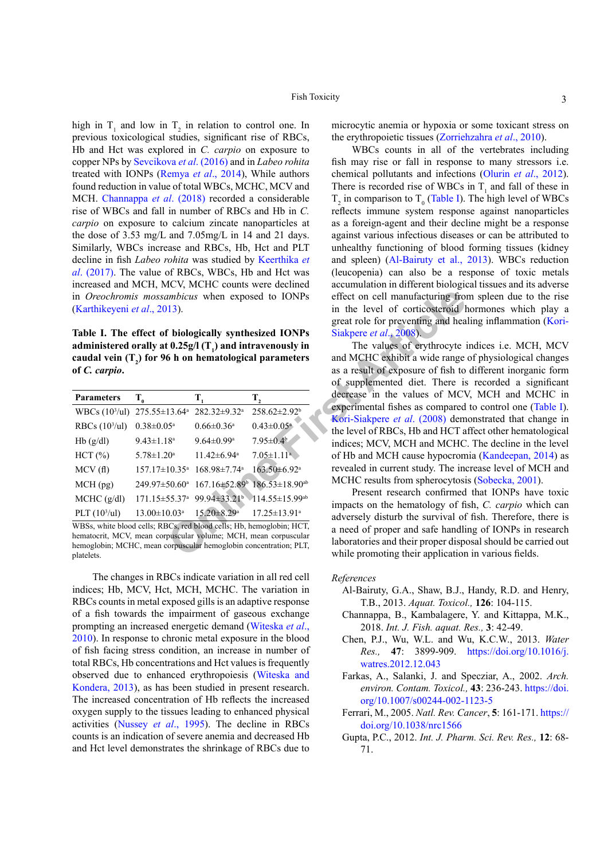high in  $T_1$  and low in  $T_2$  in relation to control one. In previous toxicological studies, significant rise of RBCs, Hb and Hct was explored in *C. carpio* on exposure to copper NPs by [Sevcikova](#page-3-8) *et al*. (2016) and in *Labeo rohita*  treated with IONPs [\(Remya](#page-3-9) *et al*., 2014), While authors found reduction in value of total WBCs, MCHC, MCV and MCH. [Channappa](#page-2-1) *et al*. (2018) recorded a considerable rise of WBCs and fall in number of RBCs and Hb in *C. carpio* on exposure to calcium zincate nanoparticles at the dose of 3.53 mg/L and 7.05mg/L in 14 and 21 days. Similarly, WBCs increase and RBCs, Hb, Hct and PLT decline in fish *Labeo rohita* was studied by [Keerthika](#page-3-10) *et al*[. \(2017\)](#page-3-10). The value of RBCs, WBCs, Hb and Hct was increased and MCH, MCV, MCHC counts were declined in *Oreochromis mossambicus* when exposed to IONPs ([Karthikeyeni](#page-3-11) *et al*., 2013).

<span id="page-2-5"></span>**Table I. The effect of biologically synthesized IONPs administered orally at 0.25g/l (T1 ) and intravenously in caudal vein (T2 ) for 96 h on hematological parameters of** *C. carpio***.**

| <b>Parameters</b>  | $T_{0}$                         | T,                             | Т,                               |
|--------------------|---------------------------------|--------------------------------|----------------------------------|
| WBCs $(103/ul)$    | 275.55±13.64 <sup>a</sup>       | $282.32 \pm 9.32^a$            | $258.62 \pm 2.92^b$              |
| RBCs $(103/ul)$    | $0.38 \pm 0.05^a$               | $0.66 \pm 0.36$ <sup>a</sup>   | $0.43 \pm 0.05^a$                |
| Hb(g/dl)           | $9.43 \pm 1.18$ <sup>a</sup>    | $9.64 \pm 0.99$ <sup>a</sup>   | $7.95 \pm 0.4^{\circ}$           |
| HCT(%)             | $5.78 \pm 1.20^a$               | $11.42 \pm 6.94$ <sup>a</sup>  | $7.05 \pm 1.11$ <sup>a</sup>     |
| MCV(f)             | $157.17 \pm 10.35$ <sup>a</sup> | $168.98 \pm 7.74$ <sup>a</sup> | $163.50 \pm 6.92$ <sup>a</sup>   |
| $MCH$ (pg)         | $249.97 \pm 50.60^{\circ}$      | $167.16\pm52.89^{\circ}$       | $186.53 \pm 18.90^{ab}$          |
| MCHC (g/dl)        | 171.15±55.37 <sup>a</sup>       | 99.94±33.21 <sup>b</sup>       | $114.55 \pm 15.99$ <sup>ab</sup> |
| PLT $(10^3/\mu l)$ | $13.00 \pm 10.03$ <sup>a</sup>  | $15.20 \pm 8.29$ <sup>a</sup>  | $17.25 \pm 13.91^{\circ}$        |

WBSs, white blood cells; RBCs, red blood cells; Hb, hemoglobin; HCT, hematocrit, MCV, mean corpuscular volume; MCH, mean corpuscular hemoglobin; MCHC, mean corpuscular hemoglobin concentration; PLT, platelets.

The changes in RBCs indicate variation in all red cell indices; Hb, MCV, Hct, MCH, MCHC. The variation in RBCs counts in metal exposed gills is an adaptive response of a fish towards the impairment of gaseous exchange prompting an increased energetic demand [\(Witeska](#page-3-12) *et al*., [2010\)](#page-3-12). In response to chronic metal exposure in the blood of fish facing stress condition, an increase in number of total RBCs, Hb concentrations and Hct values is frequently observed due to enhanced erythropoiesis [\(Witeska and](#page-3-13) [Kondera, 2013](#page-3-13)), as has been studied in present research. The increased concentration of Hb reflects the increased oxygen supply to the tissues leading to enhanced physical activities ([Nussey](#page-3-14) *et al*., 1995). The decline in RBCs counts is an indication of severe anemia and decreased Hb and Hct level demonstrates the shrinkage of RBCs due to microcytic anemia or hypoxia or some toxicant stress on the erythropoietic tissues ([Zorriehzahra](#page-3-15) *et al*., 2010).

WBCs counts in all of the vertebrates including fish may rise or fall in response to many stressors i.e. chemical pollutants and infections (Olurin *et al*[., 2012](#page-3-16)). There is recorded rise of WBCs in  $T_1$  and fall of these in  $T_2$  in comparison to  $T_0$  ([Table I](#page-2-5)). The high level of WBCs reflects immune system response against nanoparticles as a foreign-agent and their decline might be a response against various infectious diseases or can be attributed to unhealthy functioning of blood forming tissues (kidney and spleen) ([Al-Bairuty et al., 2013\)](#page-2-6). WBCs reduction (leucopenia) can also be a response of toxic metals accumulation in different biological tissues and its adverse effect on cell manufacturing from spleen due to the rise in the level of corticosteroid hormones which play a great role for preventing and healing inflammation ([Kori-](#page-3-17)Siakpere *et al*., 2008).

**EXECUTE:** This tempelon contention, principle in the several photon contention of the same that the same of the same of the same of the same of the photon contention of the same of the same of the same of the same of the The values of erythrocyte indices i.e. MCH, MCV and MCHC exhibit a wide range of physiological changes as a result of exposure of fish to different inorganic form of supplemented diet. There is recorded a significant decrease in the values of MCV, MCH and MCHC in experimental fishes as compared to control one ([Table I](#page-2-5)). Kori-Siakpere *et al*. (2008) demonstrated that change in the level of RBCs, Hb and HCT affect other hematological indices; MCV, MCH and MCHC. The decline in the level of Hb and MCH cause hypocromia [\(Kandeepan, 2014\)](#page-3-18) as revealed in current study. The increase level of MCH and MCHC results from spherocytosis ([Sobecka, 2001](#page-3-19)).

Present research confirmed that IONPs have toxic impacts on the hematology of fish, *C. carpio* which can adversely disturb the survival of fish. Therefore, there is a need of proper and safe handling of IONPs in research laboratories and their proper disposal should be carried out while promoting their application in various fields.

### *References*

- <span id="page-2-6"></span>Al-Bairuty, G.A., Shaw, B.J., Handy, R.D. and Henry, T.B., 2013. *Aquat. Toxicol.,* **126**: 104-115.
- <span id="page-2-1"></span>Channappa, B., Kambalagere, Y. and Kittappa, M.K., 2018. *Int. J. Fish. aquat. Res.,* **3**: 42-49.
- <span id="page-2-4"></span>Chen, P.J., Wu, W.L. and Wu, K.C.W., 2013. *Water Res.,* **47**: 3899-909. [https://doi.org/10.1016/j.](https://doi.org/10.1016/j.watres.2012.12.043) [watres.2012.12.043](https://doi.org/10.1016/j.watres.2012.12.043)
- <span id="page-2-0"></span>Farkas, A., Salanki, J. and Specziar, A., 2002. *Arch. environ. Contam. Toxicol.,* **43**: 236-243. [https://doi.](https://doi.org/10.1007/s00244-002-1123-5) [org/10.1007/s00244-002-1123-5](https://doi.org/10.1007/s00244-002-1123-5)
- <span id="page-2-3"></span>Ferrari, M., 2005. *Natl. Rev. Cancer*, **5**: 161-171. [https://](https://doi.org/10.1038/nrc1566) [doi.org/10.1038/nrc1566](https://doi.org/10.1038/nrc1566)
- <span id="page-2-2"></span>Gupta, P.C., 2012. *Int. J. Pharm. Sci. Rev. Res.,* **12**: 68- 71.